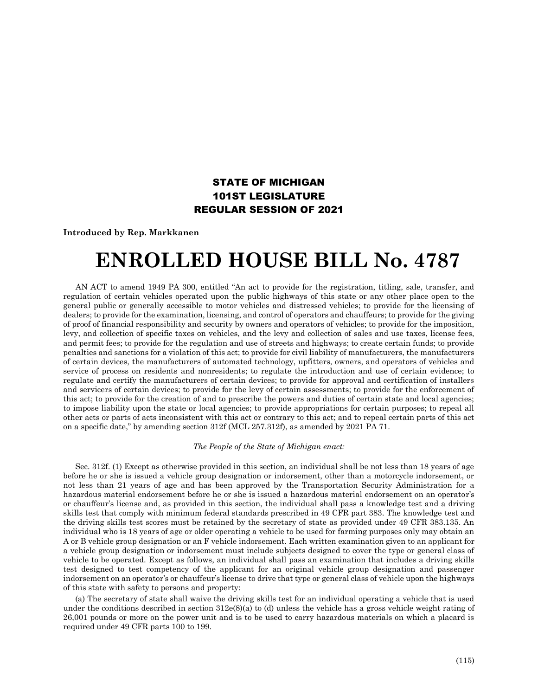## STATE OF MICHIGAN 101ST LEGISLATURE REGULAR SESSION OF 2021

**Introduced by Rep. Markkanen**

## **ENROLLED HOUSE BILL No. 4787**

AN ACT to amend 1949 PA 300, entitled "An act to provide for the registration, titling, sale, transfer, and regulation of certain vehicles operated upon the public highways of this state or any other place open to the general public or generally accessible to motor vehicles and distressed vehicles; to provide for the licensing of dealers; to provide for the examination, licensing, and control of operators and chauffeurs; to provide for the giving of proof of financial responsibility and security by owners and operators of vehicles; to provide for the imposition, levy, and collection of specific taxes on vehicles, and the levy and collection of sales and use taxes, license fees, and permit fees; to provide for the regulation and use of streets and highways; to create certain funds; to provide penalties and sanctions for a violation of this act; to provide for civil liability of manufacturers, the manufacturers of certain devices, the manufacturers of automated technology, upfitters, owners, and operators of vehicles and service of process on residents and nonresidents; to regulate the introduction and use of certain evidence; to regulate and certify the manufacturers of certain devices; to provide for approval and certification of installers and servicers of certain devices; to provide for the levy of certain assessments; to provide for the enforcement of this act; to provide for the creation of and to prescribe the powers and duties of certain state and local agencies; to impose liability upon the state or local agencies; to provide appropriations for certain purposes; to repeal all other acts or parts of acts inconsistent with this act or contrary to this act; and to repeal certain parts of this act on a specific date," by amending section 312f (MCL 257.312f), as amended by 2021 PA 71.

*The People of the State of Michigan enact:*

Sec. 312f. (1) Except as otherwise provided in this section, an individual shall be not less than 18 years of age before he or she is issued a vehicle group designation or indorsement, other than a motorcycle indorsement, or not less than 21 years of age and has been approved by the Transportation Security Administration for a hazardous material endorsement before he or she is issued a hazardous material endorsement on an operator's or chauffeur's license and, as provided in this section, the individual shall pass a knowledge test and a driving skills test that comply with minimum federal standards prescribed in 49 CFR part 383. The knowledge test and the driving skills test scores must be retained by the secretary of state as provided under 49 CFR 383.135. An individual who is 18 years of age or older operating a vehicle to be used for farming purposes only may obtain an A or B vehicle group designation or an F vehicle indorsement. Each written examination given to an applicant for a vehicle group designation or indorsement must include subjects designed to cover the type or general class of vehicle to be operated. Except as follows, an individual shall pass an examination that includes a driving skills test designed to test competency of the applicant for an original vehicle group designation and passenger indorsement on an operator's or chauffeur's license to drive that type or general class of vehicle upon the highways of this state with safety to persons and property:

(a) The secretary of state shall waive the driving skills test for an individual operating a vehicle that is used under the conditions described in section  $312e(8)(a)$  to (d) unless the vehicle has a gross vehicle weight rating of 26,001 pounds or more on the power unit and is to be used to carry hazardous materials on which a placard is required under 49 CFR parts 100 to 199.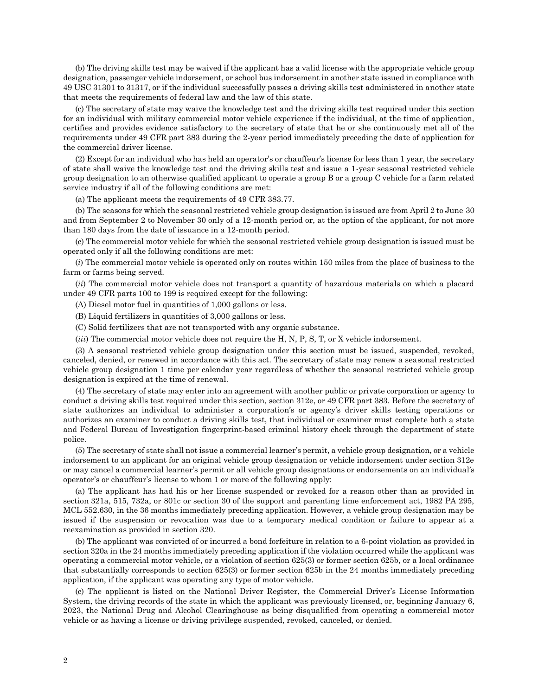(b) The driving skills test may be waived if the applicant has a valid license with the appropriate vehicle group designation, passenger vehicle indorsement, or school bus indorsement in another state issued in compliance with 49 USC 31301 to 31317, or if the individual successfully passes a driving skills test administered in another state that meets the requirements of federal law and the law of this state.

(c) The secretary of state may waive the knowledge test and the driving skills test required under this section for an individual with military commercial motor vehicle experience if the individual, at the time of application, certifies and provides evidence satisfactory to the secretary of state that he or she continuously met all of the requirements under 49 CFR part 383 during the 2-year period immediately preceding the date of application for the commercial driver license.

(2) Except for an individual who has held an operator's or chauffeur's license for less than 1 year, the secretary of state shall waive the knowledge test and the driving skills test and issue a 1-year seasonal restricted vehicle group designation to an otherwise qualified applicant to operate a group B or a group C vehicle for a farm related service industry if all of the following conditions are met:

(a) The applicant meets the requirements of 49 CFR 383.77.

(b) The seasons for which the seasonal restricted vehicle group designation is issued are from April 2 to June 30 and from September 2 to November 30 only of a 12-month period or, at the option of the applicant, for not more than 180 days from the date of issuance in a 12-month period.

(c) The commercial motor vehicle for which the seasonal restricted vehicle group designation is issued must be operated only if all the following conditions are met:

(*i*) The commercial motor vehicle is operated only on routes within 150 miles from the place of business to the farm or farms being served.

(*ii*) The commercial motor vehicle does not transport a quantity of hazardous materials on which a placard under 49 CFR parts 100 to 199 is required except for the following:

(A) Diesel motor fuel in quantities of 1,000 gallons or less.

(B) Liquid fertilizers in quantities of 3,000 gallons or less.

- (C) Solid fertilizers that are not transported with any organic substance.
- (*iii*) The commercial motor vehicle does not require the H, N, P, S, T, or X vehicle indorsement.

(3) A seasonal restricted vehicle group designation under this section must be issued, suspended, revoked, canceled, denied, or renewed in accordance with this act. The secretary of state may renew a seasonal restricted vehicle group designation 1 time per calendar year regardless of whether the seasonal restricted vehicle group designation is expired at the time of renewal.

(4) The secretary of state may enter into an agreement with another public or private corporation or agency to conduct a driving skills test required under this section, section 312e, or 49 CFR part 383. Before the secretary of state authorizes an individual to administer a corporation's or agency's driver skills testing operations or authorizes an examiner to conduct a driving skills test, that individual or examiner must complete both a state and Federal Bureau of Investigation fingerprint-based criminal history check through the department of state police.

(5) The secretary of state shall not issue a commercial learner's permit, a vehicle group designation, or a vehicle indorsement to an applicant for an original vehicle group designation or vehicle indorsement under section 312e or may cancel a commercial learner's permit or all vehicle group designations or endorsements on an individual's operator's or chauffeur's license to whom 1 or more of the following apply:

(a) The applicant has had his or her license suspended or revoked for a reason other than as provided in section 321a, 515, 732a, or 801c or section 30 of the support and parenting time enforcement act, 1982 PA 295, MCL 552.630, in the 36 months immediately preceding application. However, a vehicle group designation may be issued if the suspension or revocation was due to a temporary medical condition or failure to appear at a reexamination as provided in section 320.

(b) The applicant was convicted of or incurred a bond forfeiture in relation to a 6-point violation as provided in section 320a in the 24 months immediately preceding application if the violation occurred while the applicant was operating a commercial motor vehicle, or a violation of section 625(3) or former section 625b, or a local ordinance that substantially corresponds to section 625(3) or former section 625b in the 24 months immediately preceding application, if the applicant was operating any type of motor vehicle.

(c) The applicant is listed on the National Driver Register, the Commercial Driver's License Information System, the driving records of the state in which the applicant was previously licensed, or, beginning January 6, 2023, the National Drug and Alcohol Clearinghouse as being disqualified from operating a commercial motor vehicle or as having a license or driving privilege suspended, revoked, canceled, or denied.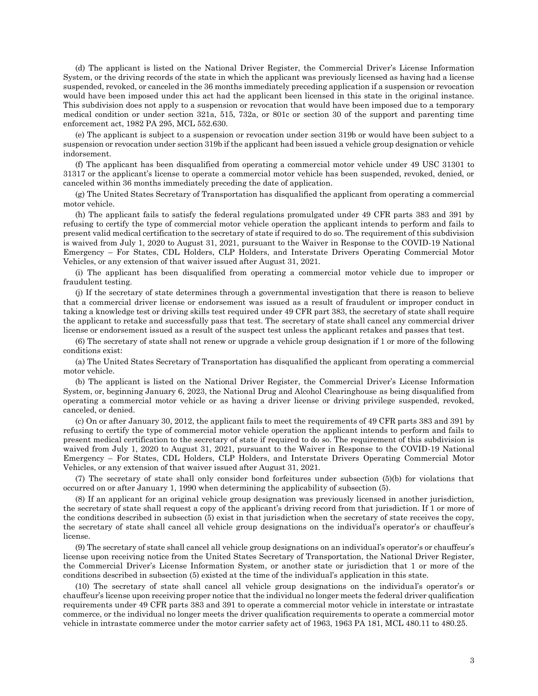(d) The applicant is listed on the National Driver Register, the Commercial Driver's License Information System, or the driving records of the state in which the applicant was previously licensed as having had a license suspended, revoked, or canceled in the 36 months immediately preceding application if a suspension or revocation would have been imposed under this act had the applicant been licensed in this state in the original instance. This subdivision does not apply to a suspension or revocation that would have been imposed due to a temporary medical condition or under section 321a, 515, 732a, or 801c or section 30 of the support and parenting time enforcement act, 1982 PA 295, MCL 552.630.

(e) The applicant is subject to a suspension or revocation under section 319b or would have been subject to a suspension or revocation under section 319b if the applicant had been issued a vehicle group designation or vehicle indorsement.

(f) The applicant has been disqualified from operating a commercial motor vehicle under 49 USC 31301 to 31317 or the applicant's license to operate a commercial motor vehicle has been suspended, revoked, denied, or canceled within 36 months immediately preceding the date of application.

(g) The United States Secretary of Transportation has disqualified the applicant from operating a commercial motor vehicle.

(h) The applicant fails to satisfy the federal regulations promulgated under 49 CFR parts 383 and 391 by refusing to certify the type of commercial motor vehicle operation the applicant intends to perform and fails to present valid medical certification to the secretary of state if required to do so. The requirement of this subdivision is waived from July 1, 2020 to August 31, 2021, pursuant to the Waiver in Response to the COVID-19 National Emergency – For States, CDL Holders, CLP Holders, and Interstate Drivers Operating Commercial Motor Vehicles, or any extension of that waiver issued after August 31, 2021.

(i) The applicant has been disqualified from operating a commercial motor vehicle due to improper or fraudulent testing.

(j) If the secretary of state determines through a governmental investigation that there is reason to believe that a commercial driver license or endorsement was issued as a result of fraudulent or improper conduct in taking a knowledge test or driving skills test required under 49 CFR part 383, the secretary of state shall require the applicant to retake and successfully pass that test. The secretary of state shall cancel any commercial driver license or endorsement issued as a result of the suspect test unless the applicant retakes and passes that test.

(6) The secretary of state shall not renew or upgrade a vehicle group designation if 1 or more of the following conditions exist:

(a) The United States Secretary of Transportation has disqualified the applicant from operating a commercial motor vehicle.

(b) The applicant is listed on the National Driver Register, the Commercial Driver's License Information System, or, beginning January 6, 2023, the National Drug and Alcohol Clearinghouse as being disqualified from operating a commercial motor vehicle or as having a driver license or driving privilege suspended, revoked, canceled, or denied.

(c) On or after January 30, 2012, the applicant fails to meet the requirements of 49 CFR parts 383 and 391 by refusing to certify the type of commercial motor vehicle operation the applicant intends to perform and fails to present medical certification to the secretary of state if required to do so. The requirement of this subdivision is waived from July 1, 2020 to August 31, 2021, pursuant to the Waiver in Response to the COVID-19 National Emergency – For States, CDL Holders, CLP Holders, and Interstate Drivers Operating Commercial Motor Vehicles, or any extension of that waiver issued after August 31, 2021.

(7) The secretary of state shall only consider bond forfeitures under subsection (5)(b) for violations that occurred on or after January 1, 1990 when determining the applicability of subsection (5).

(8) If an applicant for an original vehicle group designation was previously licensed in another jurisdiction, the secretary of state shall request a copy of the applicant's driving record from that jurisdiction. If 1 or more of the conditions described in subsection (5) exist in that jurisdiction when the secretary of state receives the copy, the secretary of state shall cancel all vehicle group designations on the individual's operator's or chauffeur's license.

(9) The secretary of state shall cancel all vehicle group designations on an individual's operator's or chauffeur's license upon receiving notice from the United States Secretary of Transportation, the National Driver Register, the Commercial Driver's License Information System, or another state or jurisdiction that 1 or more of the conditions described in subsection (5) existed at the time of the individual's application in this state.

(10) The secretary of state shall cancel all vehicle group designations on the individual's operator's or chauffeur's license upon receiving proper notice that the individual no longer meets the federal driver qualification requirements under 49 CFR parts 383 and 391 to operate a commercial motor vehicle in interstate or intrastate commerce, or the individual no longer meets the driver qualification requirements to operate a commercial motor vehicle in intrastate commerce under the motor carrier safety act of 1963, 1963 PA 181, MCL 480.11 to 480.25.